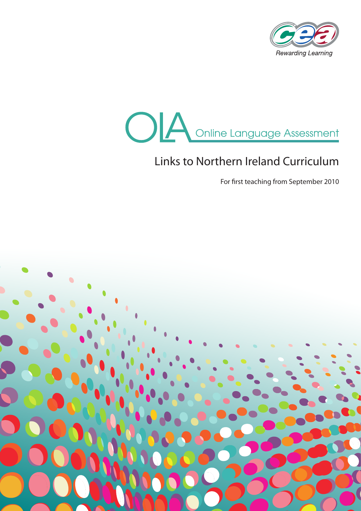



# Links to Northern Ireland Curriculum

For first teaching from September 2010

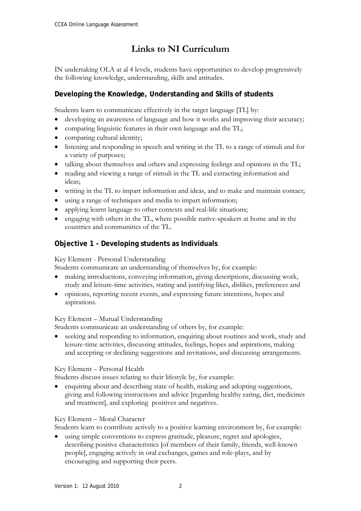# **Links to NI Curriculum**

IN undertaking OLA at al 4 levels, students have opportunities to develop progressively the following knowledge, understanding, skills and attitudes.

# **Developing the Knowledge, Understanding and Skills of students**

Students learn to communicate effectively in the target language [TL] by:

- developing an awareness of language and how it works and improving their accuracy;
- comparing linguistic features in their own language and the TL;
- comparing cultural identity;
- listening and responding in speech and writing in the TL to a range of stimuli and for a variety of purposes;
- talking about themselves and others and expressing feelings and opinions in the TL;
- reading and viewing a range of stimuli in the TL and extracting information and ideas;
- writing in the TL to impart information and ideas, and to make and maintain contact;
- using a range of techniques and media to impart information;
- applying learnt language to other contexts and real-life situations;
- engaging with others in the TL, where possible native-speakers at home and in the countries and communities of the TL.

# **Objective 1 - Developing students as Individuals**

# Key Element - Personal Understanding

Students communicate an understanding of themselves by, for example:

- making introductions, conveying information, giving descriptions, discussing work, study and leisure-time activities, stating and justifying likes, dislikes, preferences and
- opinions, reporting recent events, and expressing future intentions, hopes and aspirations.

# Key Element – Mutual Understanding

Students communicate an understanding of others by, for example:

 seeking and responding to information, enquiring about routines and work, study and leisure-time activities, discussing attitudes, feelings, hopes and aspirations, making and accepting or declining suggestions and invitations, and discussing arrangements.

# Key Element – Personal Health

Students discuss issues relating to their lifestyle by, for example:

 enquiring about and describing state of health, making and adopting suggestions, giving and following instructions and advice [regarding healthy eating, diet, medicines and treatment], and exploring positives and negatives.

# Key Element – Moral Character

Students learn to contribute actively to a positive learning environment by, for example:

 using simple conventions to express gratitude, pleasure, regret and apologies, describing positive characteristics [of members of their family, friends, well-known people], engaging actively in oral exchanges, games and role-plays, and by encouraging and supporting their peers.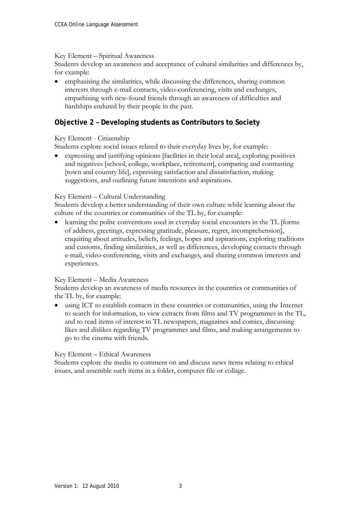#### Key Element – Spiritual Awareness

Students develop an awareness and acceptance of cultural similarities and differences by, for example:

 emphasising the similarities, while discussing the differences, sharing common interests through e-mail contacts, video-conferencing, visits and exchanges, empathising with new-found friends through an awareness of difficulties and hardships endured by their people in the past.

# **Objective 2 – Developing students as Contributors to Society**

### Key Element - Citizenship

Students explore social issues related to their everyday lives by, for example:

 expressing and justifying opinions [facilities in their local area], exploring positives and negatives [school, college, workplace, retirement], comparing and contrasting [town and country life], expressing satisfaction and dissatisfaction, making suggestions, and outlining future intentions and aspirations.

#### Key Element – Cultural Understanding

Students develop a better understanding of their own culture while learning about the culture of the countries or communities of the TL by, for example:

 learning the polite conventions used in everyday social encounters in the TL [forms of address, greetings, expressing gratitude, pleasure, regret, incomprehension], enquiring about attitudes, beliefs, feelings, hopes and aspirations, exploring traditions and customs, finding similarities, as well as differences, developing contacts through e-mail, video-conferencing, visits and exchanges, and sharing common interests and experiences.

#### Key Element – Media Awareness

Students develop an awareness of media resources in the countries or communities of the TL by, for example:

 using ICT to establish contacts in these countries or communities, using the Internet to search for information, to view extracts from films and TV programmes in the TL, and to read items of interest in TL newspapers, magazines and comics, discussing likes and dislikes regarding TV programmes and films, and making arrangements to go to the cinema with friends.

#### Key Element – Ethical Awareness

Students explore the media to comment on and discuss news items relating to ethical issues, and assemble such items in a folder, computer file or collage.